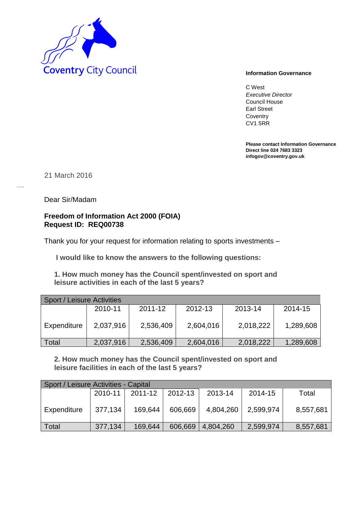

C West *Executive Director* Council House Earl Street **Coventry** CV1 5RR

**Please contact Information Governance Direct line 024 7683 3323 infogov@coventry.gov.uk** 

21 March 2016

Dear Sir/Madam

## **Freedom of Information Act 2000 (FOIA) Request ID: REQ00738**

Thank you for your request for information relating to sports investments –

**I would like to know the answers to the following questions:** 

 **1. How much money has the Council spent/invested on sport and leisure activities in each of the last 5 years?** 

| Sport / Leisure Activities |           |           |           |           |           |  |  |  |  |  |
|----------------------------|-----------|-----------|-----------|-----------|-----------|--|--|--|--|--|
|                            | 2010-11   | 2011-12   | 2012-13   | 2013-14   | 2014-15   |  |  |  |  |  |
| Expenditure                | 2,037,916 | 2,536,409 | 2,604,016 | 2,018,222 | 1,289,608 |  |  |  |  |  |
| <b>Total</b>               | 2,037,916 | 2,536,409 | 2,604,016 | 2,018,222 | 1,289,608 |  |  |  |  |  |

 **2. How much money has the Council spent/invested on sport and leisure facilities in each of the last 5 years?** 

| Sport / Leisure Activities - Capital |         |         |         |           |           |           |  |  |  |  |
|--------------------------------------|---------|---------|---------|-----------|-----------|-----------|--|--|--|--|
|                                      | 2010-11 | 2011-12 | 2012-13 | 2013-14   | 2014-15   | Total     |  |  |  |  |
| Expenditure                          | 377,134 | 169,644 | 606,669 | 4,804,260 | 2,599,974 | 8,557,681 |  |  |  |  |
| Total                                | 377,134 | 169,644 | 606,669 | 4,804,260 | 2,599,974 | 8,557,681 |  |  |  |  |